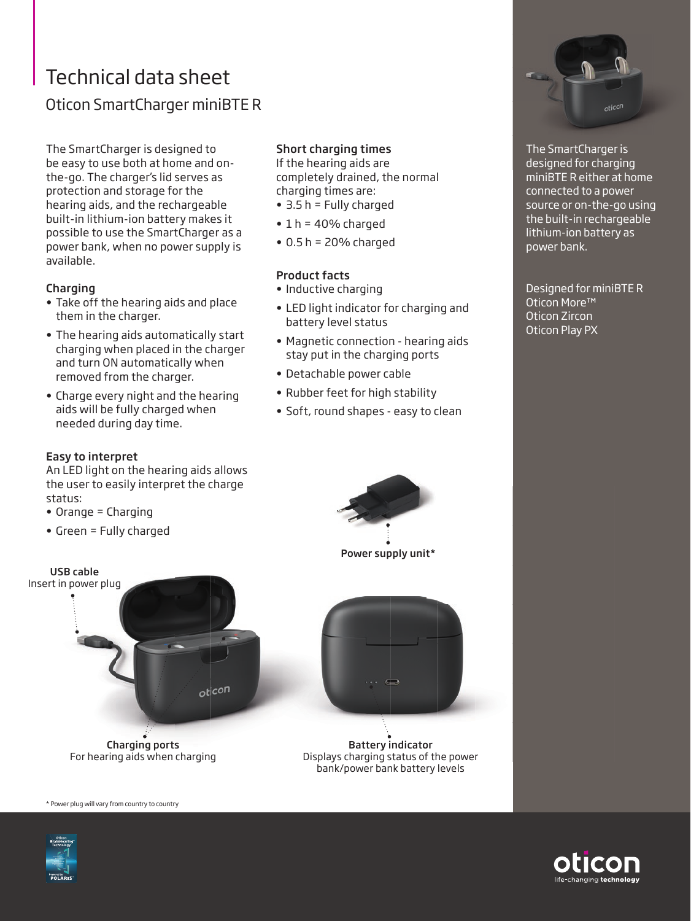# Technical data sheet Oticon SmartCharger miniBTE R

The SmartCharger is designed to be easy to use both at home and onthe-go. The charger's lid serves as protection and storage for the hearing aids, and the rechargeable built-in lithium-ion battery makes it possible to use the SmartCharger as a power bank, when no power supply is available.

### Charging

- Take off the hearing aids and place them in the charger.
- The hearing aids automatically start charging when placed in the charger and turn ON automatically when removed from the charger.
- Charge every night and the hearing aids will be fully charged when needed during day time.

## Easy to interpret

An LED light on the hearing aids allows the user to easily interpret the charge status:

- Orange = Charging
- Green = Fully charged

# Short charging times

If the hearing aids are completely drained, the normal charging times are:

- 3.5 h = Fully charged
- $\cdot$  1 h = 40% charged
- $\bullet$  0.5 h = 20% charged

### Product facts

- Inductive charging
- LED light indicator for charging and battery level status
- Magnetic connection hearing aids stay put in the charging ports
- Detachable power cable
- Rubber feet for high stability
- Soft, round shapes easy to clean



Power supply unit\*





Battery indicator Displays charging status of the power bank/power bank battery levels



The SmartCharger is designed for charging miniBTE R either at home connected to a power source or on-the-go using the built-in rechargeable lithium-ion battery as power bank.

Designed for miniBTE R Oticon More™ Oticon Zircon Oticon Play PX



\* Power plug will vary from country to country